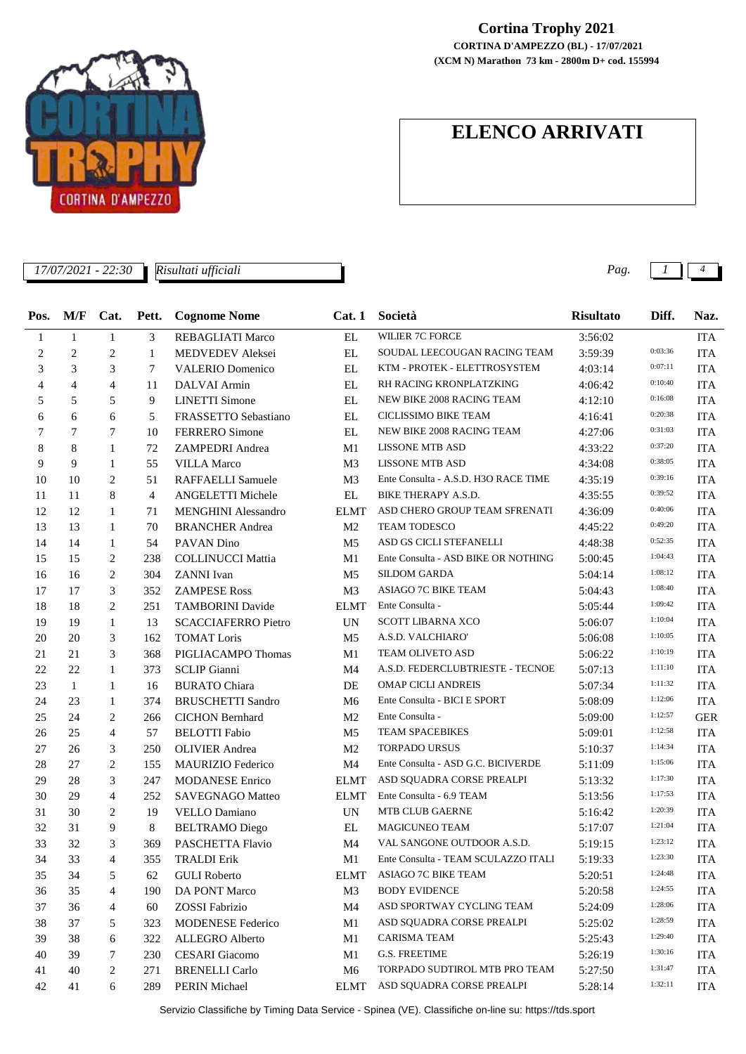

## **Cortina Trophy 2021**

**(XCM N) Marathon 73 km - 2800m D+ cod. 155994 CORTINA D'AMPEZZO (BL) - 17/07/2021**

## **ELENCO ARRIVATI**

| 17/07/2021 - 22:30<br>Risultati ufficiali |                |                |                |                            |                   |                                      | Pag.             |         | 4                           |
|-------------------------------------------|----------------|----------------|----------------|----------------------------|-------------------|--------------------------------------|------------------|---------|-----------------------------|
| Pos.                                      | M/F            | Cat.           | Pett.          | <b>Cognome Nome</b>        | Cat.1             | Società                              | <b>Risultato</b> | Diff.   | Naz.                        |
| 1                                         | $\mathbf{1}$   | 1              | 3              | REBAGLIATI Marco           | EL                | WILIER 7C FORCE                      | 3:56:02          |         | <b>ITA</b>                  |
| 2                                         | $\overline{c}$ | $\overline{c}$ | 1              | MEDVEDEV Aleksei           | EL                | SOUDAL LEECOUGAN RACING TEAM         | 3:59:39          | 0:03:36 | <b>ITA</b>                  |
| 3                                         | 3              | 3              | 7              | <b>VALERIO Domenico</b>    | EL                | KTM - PROTEK - ELETTROSYSTEM         | 4:03:14          | 0:07:11 | <b>ITA</b>                  |
| 4                                         | 4              | $\overline{4}$ | 11             | DALVAI Armin               | EL                | RH RACING KRONPLATZKING              | 4:06:42          | 0:10:40 | <b>ITA</b>                  |
| 5                                         | 5              | 5              | 9              | <b>LINETTI</b> Simone      | EL                | NEW BIKE 2008 RACING TEAM            | 4:12:10          | 0:16:08 | <b>ITA</b>                  |
| 6                                         | 6              | 6              | 5              | FRASSETTO Sebastiano       | EL                | CICLISSIMO BIKE TEAM                 | 4:16:41          | 0:20:38 | <b>ITA</b>                  |
| 7                                         | 7              | 7              | 10             | <b>FERRERO</b> Simone      | EL                | NEW BIKE 2008 RACING TEAM            | 4:27:06          | 0:31:03 | <b>ITA</b>                  |
| 8                                         | 8              | $\mathbf{1}$   | 72             | ZAMPEDRI Andrea            | M1                | <b>LISSONE MTB ASD</b>               | 4:33:22          | 0:37:20 | <b>ITA</b>                  |
| 9                                         | 9              | $\mathbf{1}$   | 55             | <b>VILLA Marco</b>         | M <sub>3</sub>    | <b>LISSONE MTB ASD</b>               | 4:34:08          | 0:38:05 | <b>ITA</b>                  |
| 10                                        | 10             | $\overline{c}$ | 51             | RAFFAELLI Samuele          | M <sub>3</sub>    | Ente Consulta - A.S.D. H3O RACE TIME | 4:35:19          | 0:39:16 | <b>ITA</b>                  |
| 11                                        | 11             | 8              | $\overline{4}$ | ANGELETTI Michele          | EL                | BIKE THERAPY A.S.D.                  | 4:35:55          | 0:39:52 | <b>ITA</b>                  |
| 12                                        | 12             | 1              | 71             | <b>MENGHINI</b> Alessandro | <b>ELMT</b>       | ASD CHERO GROUP TEAM SFRENATI        | 4:36:09          | 0:40:06 | <b>ITA</b>                  |
| 13                                        | 13             | 1              | 70             | <b>BRANCHER Andrea</b>     | M <sub>2</sub>    | TEAM TODESCO                         | 4:45:22          | 0:49:20 | <b>ITA</b>                  |
| 14                                        | 14             | 1              | 54             | PAVAN Dino                 | M <sub>5</sub>    | ASD GS CICLI STEFANELLI              | 4:48:38          | 0:52:35 | <b>ITA</b>                  |
| 15                                        | 15             | 2              | 238            | <b>COLLINUCCI Mattia</b>   | M1                | Ente Consulta - ASD BIKE OR NOTHING  | 5:00:45          | 1:04:43 | <b>ITA</b>                  |
| 16                                        | 16             | 2              | 304            | <b>ZANNI</b> Ivan          | M <sub>5</sub>    | <b>SILDOM GARDA</b>                  | 5:04:14          | 1:08:12 | <b>ITA</b>                  |
| 17                                        | 17             | 3              | 352            | <b>ZAMPESE Ross</b>        | M <sub>3</sub>    | ASIAGO 7C BIKE TEAM                  | 5:04:43          | 1:08:40 | <b>ITA</b>                  |
| 18                                        | 18             | $\overline{c}$ | 251            | <b>TAMBORINI</b> Davide    | <b>ELMT</b>       | Ente Consulta -                      | 5:05:44          | 1:09:42 | <b>ITA</b>                  |
| 19                                        | 19             | $\mathbf{1}$   | 13             | <b>SCACCIAFERRO Pietro</b> | UN                | <b>SCOTT LIBARNA XCO</b>             | 5:06:07          | 1:10:04 | <b>ITA</b>                  |
| 20                                        | 20             | 3              | 162            | <b>TOMAT Loris</b>         | M <sub>5</sub>    | A.S.D. VALCHIARO'                    | 5:06:08          | 1:10:05 | <b>ITA</b>                  |
| 21                                        | 21             | 3              | 368            | PIGLIACAMPO Thomas         | M1                | TEAM OLIVETO ASD                     | 5:06:22          | 1:10:19 | <b>ITA</b>                  |
| 22                                        | 22             | $\mathbf{1}$   | 373            | <b>SCLIP</b> Gianni        | M4                | A.S.D. FEDERCLUBTRIESTE - TECNOE     | 5:07:13          | 1:11:10 | <b>ITA</b>                  |
| 23                                        | $\mathbf{1}$   | $\mathbf{1}$   | 16             | <b>BURATO Chiara</b>       | DE                | <b>OMAP CICLI ANDREIS</b>            | 5:07:34          | 1:11:32 | <b>ITA</b>                  |
| 24                                        | 23             | 1              | 374            | <b>BRUSCHETTI Sandro</b>   | M6                | Ente Consulta - BICI E SPORT         | 5:08:09          | 1:12:06 | <b>ITA</b>                  |
| 25                                        | 24             | 2              | 266            | <b>CICHON</b> Bernhard     | M <sub>2</sub>    | Ente Consulta -                      | 5:09:00          | 1:12:57 | <b>GER</b>                  |
| 26                                        | 25             | $\overline{4}$ | 57             | <b>BELOTTI</b> Fabio       | M5                | <b>TEAM SPACEBIKES</b>               | 5:09:01          | 1:12:58 | <b>ITA</b>                  |
| 27                                        | 26             | 3              | 250            | <b>OLIVIER</b> Andrea      | M <sub>2</sub>    | <b>TORPADO URSUS</b>                 | 5:10:37          | 1:14:34 | <b>ITA</b>                  |
| 28                                        | 27             | 2              | 155            | MAURIZIO Federico          | M4                | Ente Consulta - ASD G.C. BICIVERDE   | 5:11:09          | 1:15:06 | <b>ITA</b>                  |
| 29                                        | 28             | 3              | 247            | <b>MODANESE Enrico</b>     | <b>ELMT</b>       | ASD SQUADRA CORSE PREALPI            | 5:13:32          | 1:17:30 | <b>ITA</b>                  |
| 30                                        | 29             | $\overline{4}$ | 252            | <b>SAVEGNAGO Matteo</b>    | <b>ELMT</b>       | Ente Consulta - 6.9 TEAM             | 5:13:56          | 1:17:53 | <b>ITA</b>                  |
| 31                                        | 30             | 2              | 19             | VELLO Damiano              | <b>UN</b>         | MTB CLUB GAERNE                      | 5:16:42          | 1:20:39 | <b>ITA</b>                  |
| 32                                        | 31             | 9              | 8              | <b>BELTRAMO</b> Diego      | $\mathop{\rm EL}$ | MAGICUNEO TEAM                       | 5:17:07          | 1:21:04 | $\ensuremath{\mathsf{ITA}}$ |
| 33                                        | 32             | 3              | 369            | PASCHETTA Flavio           | M4                | VAL SANGONE OUTDOOR A.S.D.           | 5:19:15          | 1:23:12 | <b>ITA</b>                  |
| 34                                        | 33             | 4              | 355            | <b>TRALDI Erik</b>         | M1                | Ente Consulta - TEAM SCULAZZO ITALI  | 5:19:33          | 1:23:30 | <b>ITA</b>                  |
| 35                                        | 34             | 5              | 62             | <b>GULI</b> Roberto        | ELMT              | ASIAGO 7C BIKE TEAM                  | 5:20:51          | 1:24:48 | <b>ITA</b>                  |
| 36                                        | 35             | 4              | 190            | DA PONT Marco              | M3                | <b>BODY EVIDENCE</b>                 | 5:20:58          | 1:24:55 | <b>ITA</b>                  |
| 37                                        | 36             | 4              | 60             | ZOSSI Fabrizio             | M4                | ASD SPORTWAY CYCLING TEAM            | 5:24:09          | 1:28:06 | <b>ITA</b>                  |
| 38                                        | 37             | 5              | 323            | <b>MODENESE Federico</b>   | M1                | ASD SQUADRA CORSE PREALPI            | 5:25:02          | 1:28:59 | <b>ITA</b>                  |
| 39                                        | 38             | 6              | 322            | ALLEGRO Alberto            | M1                | CARISMA TEAM                         | 5:25:43          | 1:29:40 | <b>ITA</b>                  |
| 40                                        | 39             | 7              | 230            | <b>CESARI</b> Giacomo      | M1                | <b>G.S. FREETIME</b>                 | 5:26:19          | 1:30:16 | <b>ITA</b>                  |
| 41                                        | 40             | $\overline{c}$ | 271            | <b>BRENELLI</b> Carlo      | M6                | TORPADO SUDTIROL MTB PRO TEAM        | 5:27:50          | 1:31:47 | <b>ITA</b>                  |
| 42                                        | 41             | 6              | 289            | PERIN Michael              | ELMT              | ASD SQUADRA CORSE PREALPI            | 5:28:14          | 1:32:11 | ITA                         |
|                                           |                |                |                |                            |                   |                                      |                  |         |                             |

Servizio Classifiche by Timing Data Service - Spinea (VE). Classifiche on-line su: https://tds.sport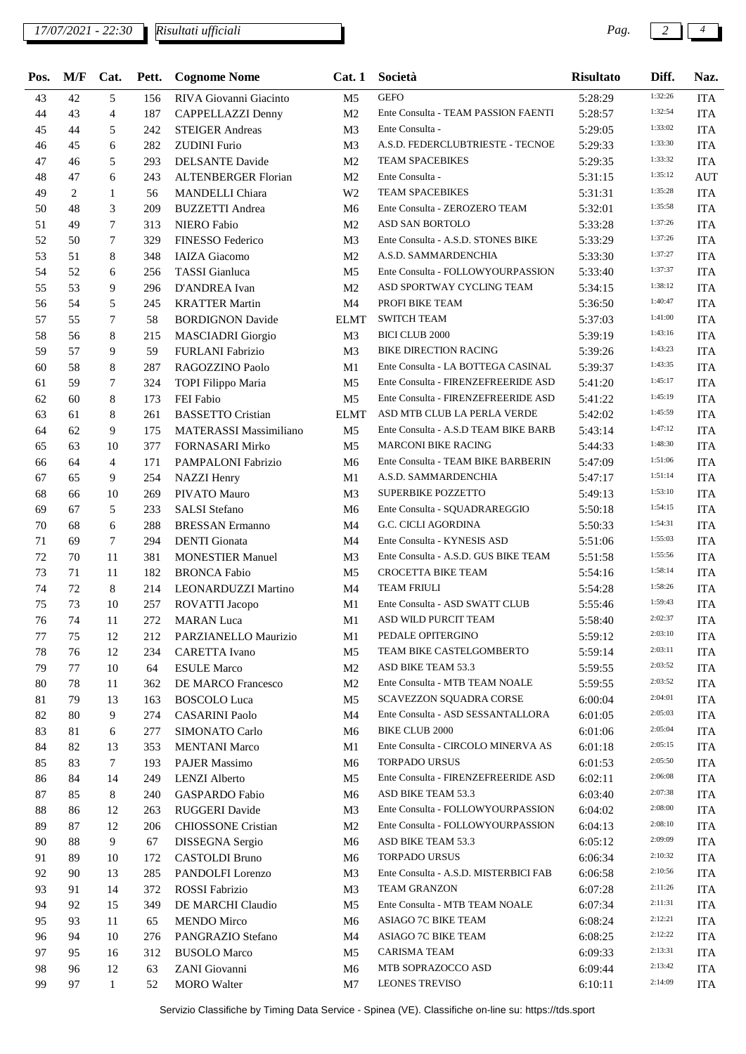## *17/07/2021 - 22:30 Pag. 2 4*

*Risultati ufficiali*

| Pos. | M/F | Cat.         |     | Pett. Cognome Nome         | Cat.1          | Società                                   | <b>Risultato</b> | Diff.   | Naz.       |
|------|-----|--------------|-----|----------------------------|----------------|-------------------------------------------|------------------|---------|------------|
| 43   | 42  | 5            | 156 | RIVA Giovanni Giacinto     | M5             | <b>GEFO</b>                               | 5:28:29          | 1:32:26 | <b>ITA</b> |
| 44   | 43  | 4            | 187 | CAPPELLAZZI Denny          | M <sub>2</sub> | Ente Consulta - TEAM PASSION FAENTI       | 5:28:57          | 1:32:54 | <b>ITA</b> |
| 45   | 44  | 5            | 242 | <b>STEIGER Andreas</b>     | M <sub>3</sub> | Ente Consulta -                           | 5:29:05          | 1:33:02 | <b>ITA</b> |
| 46   | 45  | 6            | 282 | <b>ZUDINI</b> Furio        | M <sub>3</sub> | A.S.D. FEDERCLUBTRIESTE - TECNOE          | 5:29:33          | 1:33:30 | <b>ITA</b> |
| 47   | 46  | 5            | 293 | <b>DELSANTE Davide</b>     | M <sub>2</sub> | <b>TEAM SPACEBIKES</b>                    | 5:29:35          | 1:33:32 | <b>ITA</b> |
| 48   | 47  | 6            | 243 | <b>ALTENBERGER Florian</b> | M <sub>2</sub> | Ente Consulta -                           | 5:31:15          | 1:35:12 | <b>AUT</b> |
| 49   | 2   | 1            | 56  | <b>MANDELLI</b> Chiara     | W <sub>2</sub> | <b>TEAM SPACEBIKES</b>                    | 5:31:31          | 1:35:28 | <b>ITA</b> |
| 50   | 48  | 3            | 209 | <b>BUZZETTI</b> Andrea     | M6             | Ente Consulta - ZEROZERO TEAM             | 5:32:01          | 1:35:58 | <b>ITA</b> |
| 51   | 49  | 7            | 313 | NIERO Fabio                | M <sub>2</sub> | <b>ASD SAN BORTOLO</b>                    | 5:33:28          | 1:37:26 | <b>ITA</b> |
| 52   | 50  | 7            | 329 | <b>FINESSO Federico</b>    | M <sub>3</sub> | Ente Consulta - A.S.D. STONES BIKE        | 5:33:29          | 1:37:26 | <b>ITA</b> |
| 53   | 51  | 8            | 348 | <b>IAIZA</b> Giacomo       | M <sub>2</sub> | A.S.D. SAMMARDENCHIA                      | 5:33:30          | 1:37:27 | <b>ITA</b> |
| 54   | 52  | 6            | 256 | <b>TASSI</b> Gianluca      | M <sub>5</sub> | Ente Consulta - FOLLOWYOURPASSION         | 5:33:40          | 1:37:37 | <b>ITA</b> |
| 55   | 53  | 9            | 296 | D'ANDREA Ivan              | M <sub>2</sub> | ASD SPORTWAY CYCLING TEAM                 | 5:34:15          | 1:38:12 | <b>ITA</b> |
| 56   | 54  | 5            | 245 | <b>KRATTER Martin</b>      | M <sub>4</sub> | PROFI BIKE TEAM                           | 5:36:50          | 1:40:47 | <b>ITA</b> |
| 57   | 55  | 7            | 58  | <b>BORDIGNON Davide</b>    | ELMT           | <b>SWITCH TEAM</b>                        | 5:37:03          | 1:41:00 | <b>ITA</b> |
| 58   | 56  | 8            | 215 | <b>MASCIADRI</b> Giorgio   | M <sub>3</sub> | <b>BICI CLUB 2000</b>                     | 5:39:19          | 1:43:16 | <b>ITA</b> |
| 59   | 57  | 9            | 59  | FURLANI Fabrizio           | M <sub>3</sub> | <b>BIKE DIRECTION RACING</b>              | 5:39:26          | 1:43:23 | <b>ITA</b> |
| 60   | 58  | 8            | 287 | RAGOZZINO Paolo            | M1             | Ente Consulta - LA BOTTEGA CASINAL        | 5:39:37          | 1:43:35 | <b>ITA</b> |
| 61   | 59  | 7            | 324 | TOPI Filippo Maria         | M5             | Ente Consulta - FIRENZEFREERIDE ASD       | 5:41:20          | 1:45:17 | <b>ITA</b> |
| 62   | 60  | 8            | 173 | FEI Fabio                  | M <sub>5</sub> | Ente Consulta - FIRENZEFREERIDE ASD       | 5:41:22          | 1:45:19 | <b>ITA</b> |
| 63   | 61  | 8            | 261 | <b>BASSETTO Cristian</b>   | <b>ELMT</b>    | ASD MTB CLUB LA PERLA VERDE               | 5:42:02          | 1:45:59 | <b>ITA</b> |
| 64   | 62  | 9            | 175 | MATERASSI Massimiliano     | M <sub>5</sub> | Ente Consulta - A.S.D TEAM BIKE BARB      | 5:43:14          | 1:47:12 | <b>ITA</b> |
| 65   | 63  | 10           | 377 | FORNASARI Mirko            | M <sub>5</sub> | <b>MARCONI BIKE RACING</b>                | 5:44:33          | 1:48:30 | <b>ITA</b> |
| 66   | 64  | 4            | 171 | PAMPALONI Fabrizio         | M6             | Ente Consulta - TEAM BIKE BARBERIN        | 5:47:09          | 1:51:06 | <b>ITA</b> |
| 67   | 65  | 9            | 254 | <b>NAZZI</b> Henry         | M1             | A.S.D. SAMMARDENCHIA                      | 5:47:17          | 1:51:14 | <b>ITA</b> |
| 68   | 66  | 10           | 269 | PIVATO Mauro               | M <sub>3</sub> | <b>SUPERBIKE POZZETTO</b>                 | 5:49:13          | 1:53:10 | <b>ITA</b> |
| 69   | 67  | 5            | 233 | <b>SALSI</b> Stefano       | M6             | Ente Consulta - SQUADRAREGGIO             | 5:50:18          | 1:54:15 | <b>ITA</b> |
| 70   | 68  | 6            | 288 | <b>BRESSAN</b> Ermanno     | M4             | G.C. CICLI AGORDINA                       | 5:50:33          | 1:54:31 | <b>ITA</b> |
| 71   | 69  | 7            | 294 | <b>DENTI</b> Gionata       | M4             | Ente Consulta - KYNESIS ASD               | 5:51:06          | 1:55:03 | <b>ITA</b> |
| 72   | 70  | 11           | 381 | <b>MONESTIER Manuel</b>    | M3             | Ente Consulta - A.S.D. GUS BIKE TEAM      | 5:51:58          | 1:55:56 | <b>ITA</b> |
| 73   | 71  | 11           | 182 | <b>BRONCA Fabio</b>        | M5             | <b>CROCETTA BIKE TEAM</b>                 | 5:54:16          | 1:58:14 | <b>ITA</b> |
| 74   | 72  |              | 214 |                            | M4             | <b>TEAM FRIULI</b>                        |                  | 1:58:26 | <b>ITA</b> |
| 75   |     | 8            |     | LEONARDUZZI Martino        |                | Ente Consulta - ASD SWATT CLUB            | 5:54:28          | 1:59:43 |            |
|      | 73  | 10           | 257 | ROVATTI Jacopo             | M1             |                                           | 5:55:46          | 2:02:37 | <b>ITA</b> |
| 76   | 74  | 11           | 272 | <b>MARAN</b> Luca          | M1             | ASD WILD PURCIT TEAM<br>PEDALE OPITERGINO | 5:58:40          | 2:03:10 | <b>ITA</b> |
| 77   | 75  | 12           | 212 | PARZIANELLO Maurizio       | M1             | TEAM BIKE CASTELGOMBERTO                  | 5:59:12          | 2:03:11 | <b>ITA</b> |
| 78   | 76  | 12           | 234 | <b>CARETTA</b> Ivano       | M <sub>5</sub> |                                           | 5:59:14          | 2:03:52 | <b>ITA</b> |
| 79   | 77  | 10           | 64  | <b>ESULE Marco</b>         | M <sub>2</sub> | ASD BIKE TEAM 53.3                        | 5:59:55          | 2:03:52 | <b>ITA</b> |
| 80   | 78  | 11           | 362 | <b>DE MARCO Francesco</b>  | M <sub>2</sub> | Ente Consulta - MTB TEAM NOALE            | 5:59:55          | 2:04:01 | <b>ITA</b> |
| 81   | 79  | 13           | 163 | <b>BOSCOLO</b> Luca        | M5             | SCAVEZZON SQUADRA CORSE                   | 6:00:04          | 2:05:03 | <b>ITA</b> |
| 82   | 80  | 9            | 274 | <b>CASARINI Paolo</b>      | M4             | Ente Consulta - ASD SESSANTALLORA         | 6:01:05          | 2:05:04 | <b>ITA</b> |
| 83   | 81  | 6            | 277 | SIMONATO Carlo             | M6             | <b>BIKE CLUB 2000</b>                     | 6:01:06          | 2:05:15 | <b>ITA</b> |
| 84   | 82  | 13           | 353 | <b>MENTANI Marco</b>       | M1             | Ente Consulta - CIRCOLO MINERVA AS        | 6:01:18          | 2:05:50 | <b>ITA</b> |
| 85   | 83  | 7            | 193 | <b>PAJER Massimo</b>       | M6             | <b>TORPADO URSUS</b>                      | 6:01:53          |         | <b>ITA</b> |
| 86   | 84  | 14           | 249 | <b>LENZI</b> Alberto       | M <sub>5</sub> | Ente Consulta - FIRENZEFREERIDE ASD       | 6:02:11          | 2:06:08 | <b>ITA</b> |
| 87   | 85  | 8            | 240 | GASPARDO Fabio             | M6             | ASD BIKE TEAM 53.3                        | 6:03:40          | 2:07:38 | <b>ITA</b> |
| 88   | 86  | 12           | 263 | RUGGERI Davide             | M <sub>3</sub> | Ente Consulta - FOLLOWYOURPASSION         | 6:04:02          | 2:08:00 | <b>ITA</b> |
| 89   | 87  | 12           | 206 | <b>CHIOSSONE</b> Cristian  | M <sub>2</sub> | Ente Consulta - FOLLOWYOURPASSION         | 6:04:13          | 2:08:10 | <b>ITA</b> |
| 90   | 88  | 9            | 67  | DISSEGNA Sergio            | M6             | ASD BIKE TEAM 53.3                        | 6:05:12          | 2:09:09 | <b>ITA</b> |
| 91   | 89  | 10           | 172 | CASTOLDI Bruno             | M6             | <b>TORPADO URSUS</b>                      | 6:06:34          | 2:10:32 | <b>ITA</b> |
| 92   | 90  | 13           | 285 | PANDOLFI Lorenzo           | M <sub>3</sub> | Ente Consulta - A.S.D. MISTERBICI FAB     | 6:06:58          | 2:10:56 | <b>ITA</b> |
| 93   | 91  | 14           | 372 | ROSSI Fabrizio             | M3             | <b>TEAM GRANZON</b>                       | 6:07:28          | 2:11:26 | <b>ITA</b> |
| 94   | 92  | 15           | 349 | DE MARCHI Claudio          | M5             | Ente Consulta - MTB TEAM NOALE            | 6:07:34          | 2:11:31 | <b>ITA</b> |
| 95   | 93  | 11           | 65  | <b>MENDO</b> Mirco         | M6             | ASIAGO 7C BIKE TEAM                       | 6:08:24          | 2:12:21 | <b>ITA</b> |
| 96   | 94  | 10           | 276 | PANGRAZIO Stefano          | M4             | ASIAGO 7C BIKE TEAM                       | 6:08:25          | 2:12:22 | <b>ITA</b> |
| 97   | 95  | 16           | 312 | <b>BUSOLO</b> Marco        | M5             | <b>CARISMA TEAM</b>                       | 6:09:33          | 2:13:31 | <b>ITA</b> |
| 98   | 96  | 12           | 63  | ZANI Giovanni              | M6             | MTB SOPRAZOCCO ASD                        | 6:09:44          | 2:13:42 | <b>ITA</b> |
| 99   | 97  | $\mathbf{1}$ | 52  | <b>MORO</b> Walter         | M7             | <b>LEONES TREVISO</b>                     | 6:10:11          | 2:14:09 | <b>ITA</b> |

Servizio Classifiche by Timing Data Service - Spinea (VE). Classifiche on-line su: https://tds.sport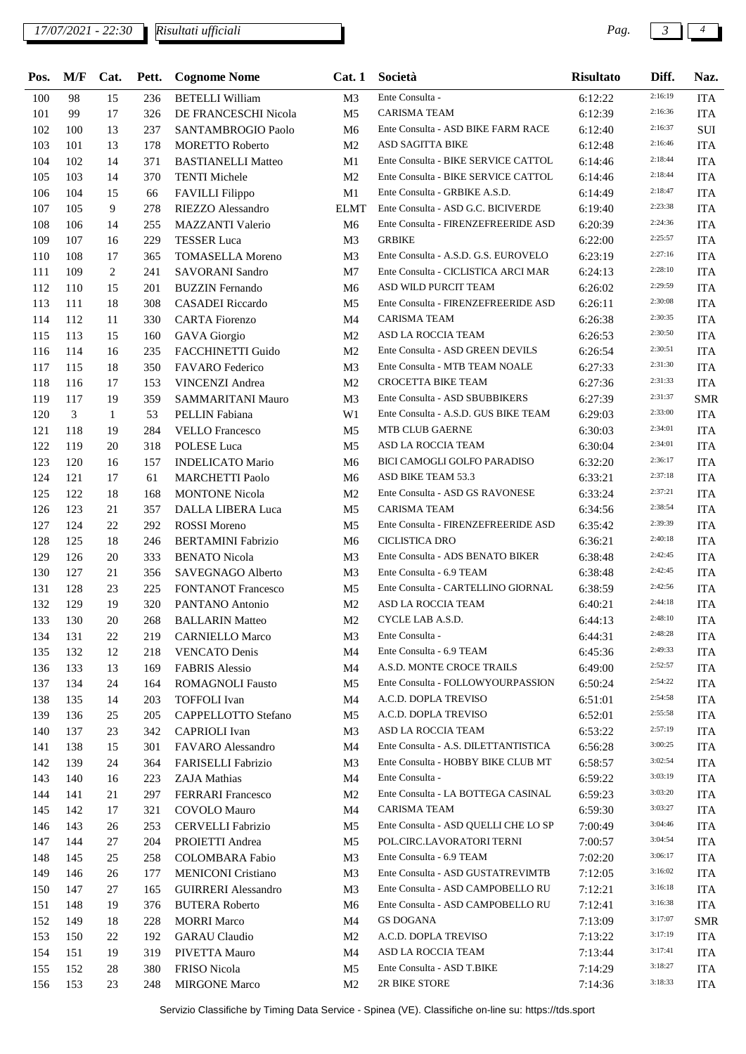*17/07/2021 - 22:30 Pag. 3 4*

*Risultati ufficiali*

| Pos. | M/F | Cat.         | Pett. | <b>Cognome Nome</b>        |                | Cat. 1 Società                       | <b>Risultato</b> | Diff.   | Naz.       |
|------|-----|--------------|-------|----------------------------|----------------|--------------------------------------|------------------|---------|------------|
| 100  | 98  | 15           | 236   | <b>BETELLI William</b>     | M <sub>3</sub> | Ente Consulta -                      | 6:12:22          | 2:16:19 | <b>ITA</b> |
| 101  | 99  | 17           | 326   | DE FRANCESCHI Nicola       | M <sub>5</sub> | CARISMA TEAM                         | 6:12:39          | 2:16:36 | <b>ITA</b> |
| 102  | 100 | 13           | 237   | SANTAMBROGIO Paolo         | M6             | Ente Consulta - ASD BIKE FARM RACE   | 6:12:40          | 2:16:37 | SUI        |
| 103  | 101 | 13           | 178   | <b>MORETTO Roberto</b>     | M <sub>2</sub> | ASD SAGITTA BIKE                     | 6:12:48          | 2:16:46 | <b>ITA</b> |
| 104  | 102 | 14           | 371   | <b>BASTIANELLI Matteo</b>  | M1             | Ente Consulta - BIKE SERVICE CATTOL  | 6:14:46          | 2:18:44 | <b>ITA</b> |
| 105  | 103 | 14           | 370   | <b>TENTI Michele</b>       | M <sub>2</sub> | Ente Consulta - BIKE SERVICE CATTOL  | 6:14:46          | 2:18:44 | <b>ITA</b> |
| 106  | 104 | 15           | 66    | FAVILLI Filippo            | M1             | Ente Consulta - GRBIKE A.S.D.        | 6:14:49          | 2:18:47 | <b>ITA</b> |
| 107  | 105 | 9            | 278   | RIEZZO Alessandro          | <b>ELMT</b>    | Ente Consulta - ASD G.C. BICIVERDE   | 6:19:40          | 2:23:38 | <b>ITA</b> |
| 108  | 106 | 14           | 255   | MAZZANTI Valerio           | M <sub>6</sub> | Ente Consulta - FIRENZEFREERIDE ASD  | 6:20:39          | 2:24:36 | <b>ITA</b> |
| 109  | 107 | 16           | 229   | <b>TESSER Luca</b>         | M <sub>3</sub> | <b>GRBIKE</b>                        | 6:22:00          | 2:25:57 | <b>ITA</b> |
| 110  | 108 | 17           | 365   | <b>TOMASELLA Moreno</b>    | M <sub>3</sub> | Ente Consulta - A.S.D. G.S. EUROVELO | 6:23:19          | 2:27:16 | <b>ITA</b> |
| 111  | 109 | 2            | 241   | SAVORANI Sandro            | M7             | Ente Consulta - CICLISTICA ARCI MAR  | 6:24:13          | 2:28:10 | <b>ITA</b> |
| 112  | 110 | 15           | 201   | <b>BUZZIN</b> Fernando     | M6             | ASD WILD PURCIT TEAM                 | 6:26:02          | 2:29:59 | <b>ITA</b> |
| 113  | 111 | 18           | 308   | CASADEI Riccardo           | M <sub>5</sub> | Ente Consulta - FIRENZEFREERIDE ASD  | 6:26:11          | 2:30:08 | <b>ITA</b> |
| 114  | 112 | 11           | 330   | <b>CARTA</b> Fiorenzo      | M4             | CARISMA TEAM                         | 6:26:38          | 2:30:35 | <b>ITA</b> |
| 115  | 113 | 15           | 160   | <b>GAVA</b> Giorgio        | M <sub>2</sub> | ASD LA ROCCIA TEAM                   | 6:26:53          | 2:30:50 | <b>ITA</b> |
| 116  | 114 | 16           | 235   | FACCHINETTI Guido          | M <sub>2</sub> | Ente Consulta - ASD GREEN DEVILS     | 6:26:54          | 2:30:51 | <b>ITA</b> |
| 117  | 115 | 18           | 350   | FAVARO Federico            | M <sub>3</sub> | Ente Consulta - MTB TEAM NOALE       | 6:27:33          | 2:31:30 | <b>ITA</b> |
| 118  | 116 | 17           | 153   | <b>VINCENZI Andrea</b>     | M <sub>2</sub> | <b>CROCETTA BIKE TEAM</b>            | 6:27:36          | 2:31:33 | <b>ITA</b> |
| 119  | 117 | 19           | 359   | SAMMARITANI Mauro          | M <sub>3</sub> | Ente Consulta - ASD SBUBBIKERS       | 6:27:39          | 2:31:37 | SMR        |
| 120  | 3   | $\mathbf{1}$ | 53    | PELLIN Fabiana             | W1             | Ente Consulta - A.S.D. GUS BIKE TEAM | 6:29:03          | 2:33:00 | <b>ITA</b> |
| 121  | 118 | 19           | 284   | <b>VELLO</b> Francesco     | M <sub>5</sub> | <b>MTB CLUB GAERNE</b>               | 6:30:03          | 2:34:01 | <b>ITA</b> |
| 122  | 119 | 20           | 318   | POLESE Luca                | M <sub>5</sub> | ASD LA ROCCIA TEAM                   | 6:30:04          | 2:34:01 | <b>ITA</b> |
| 123  | 120 | 16           | 157   | <b>INDELICATO Mario</b>    | M6             | BICI CAMOGLI GOLFO PARADISO          | 6:32:20          | 2:36:17 | <b>ITA</b> |
| 124  | 121 | 17           | 61    | <b>MARCHETTI Paolo</b>     | M <sub>6</sub> | ASD BIKE TEAM 53.3                   | 6:33:21          | 2:37:18 | <b>ITA</b> |
| 125  | 122 | 18           | 168   | <b>MONTONE Nicola</b>      | M <sub>2</sub> | Ente Consulta - ASD GS RAVONESE      | 6:33:24          | 2:37:21 | <b>ITA</b> |
| 126  | 123 | 21           | 357   | <b>DALLA LIBERA Luca</b>   | M <sub>5</sub> | <b>CARISMA TEAM</b>                  | 6:34:56          | 2:38:54 | <b>ITA</b> |
| 127  | 124 | 22           | 292   | <b>ROSSI</b> Moreno        | M <sub>5</sub> | Ente Consulta - FIRENZEFREERIDE ASD  | 6:35:42          | 2:39:39 | <b>ITA</b> |
| 128  | 125 | 18           | 246   | <b>BERTAMINI</b> Fabrizio  | M6             | CICLISTICA DRO                       | 6:36:21          | 2:40:18 | <b>ITA</b> |
| 129  | 126 | 20           | 333   | <b>BENATO</b> Nicola       | M3             | Ente Consulta - ADS BENATO BIKER     | 6:38:48          | 2:42:45 | <b>ITA</b> |
| 130  | 127 | 21           | 356   | SAVEGNAGO Alberto          | M3             | Ente Consulta - 6.9 TEAM             | 6:38:48          | 2:42:45 | <b>ITA</b> |
| 131  | 128 | 23           | 225   | <b>FONTANOT Francesco</b>  | M5             | Ente Consulta - CARTELLINO GIORNAL   | 6:38:59          | 2:42:56 | <b>ITA</b> |
| 132  | 129 | 19           | 320   | PANTANO Antonio            | M <sub>2</sub> | ASD LA ROCCIA TEAM                   | 6:40:21          | 2:44:18 | <b>ITA</b> |
| 133  | 130 | 20           | 268   | <b>BALLARIN Matteo</b>     | M <sub>2</sub> | CYCLE LAB A.S.D.                     | 6:44:13          | 2:48:10 | <b>ITA</b> |
| 134  | 131 | 22           | 219   | <b>CARNIELLO Marco</b>     | M3             | Ente Consulta -                      | 6:44:31          | 2:48:28 | ITA        |
| 135  | 132 | 12           | 218   | <b>VENCATO Denis</b>       | M4             | Ente Consulta - 6.9 TEAM             | 6:45:36          | 2:49:33 | <b>ITA</b> |
| 136  | 133 | 13           | 169   | <b>FABRIS Alessio</b>      | M4             | A.S.D. MONTE CROCE TRAILS            | 6:49:00          | 2:52:57 | <b>ITA</b> |
| 137  | 134 | 24           | 164   | <b>ROMAGNOLI Fausto</b>    | M5             | Ente Consulta - FOLLOWYOURPASSION    | 6:50:24          | 2:54:22 | <b>ITA</b> |
| 138  | 135 | 14           | 203   | <b>TOFFOLI</b> Ivan        | M4             | A.C.D. DOPLA TREVISO                 | 6:51:01          | 2:54:58 | <b>ITA</b> |
| 139  | 136 | 25           | 205   | CAPPELLOTTO Stefano        | M5             | A.C.D. DOPLA TREVISO                 | 6:52:01          | 2:55:58 | <b>ITA</b> |
| 140  | 137 | 23           | 342   | <b>CAPRIOLI</b> Ivan       | M3             | ASD LA ROCCIA TEAM                   | 6:53:22          | 2:57:19 | <b>ITA</b> |
| 141  | 138 | 15           | 301   | FAVARO Alessandro          | M4             | Ente Consulta - A.S. DILETTANTISTICA | 6:56:28          | 3:00:25 | <b>ITA</b> |
| 142  | 139 | 24           | 364   | FARISELLI Fabrizio         | M3             | Ente Consulta - HOBBY BIKE CLUB MT   | 6:58:57          | 3:02:54 | <b>ITA</b> |
| 143  | 140 | 16           | 223   | ZAJA Mathias               | M4             | Ente Consulta -                      | 6:59:22          | 3:03:19 | <b>ITA</b> |
| 144  | 141 | 21           | 297   | <b>FERRARI</b> Francesco   | M <sub>2</sub> | Ente Consulta - LA BOTTEGA CASINAL   | 6:59:23          | 3:03:20 | <b>ITA</b> |
| 145  | 142 | 17           | 321   | COVOLO Mauro               | M4             | <b>CARISMA TEAM</b>                  | 6:59:30          | 3:03:27 | <b>ITA</b> |
| 146  | 143 | 26           | 253   | <b>CERVELLI Fabrizio</b>   | M5             | Ente Consulta - ASD QUELLI CHE LO SP | 7:00:49          | 3:04:46 | <b>ITA</b> |
| 147  | 144 | 27           | 204   | PROIETTI Andrea            | M5             | POL.CIRC.LAVORATORI TERNI            | 7:00:57          | 3:04:54 | <b>ITA</b> |
| 148  | 145 | 25           | 258   | <b>COLOMBARA Fabio</b>     | M3             | Ente Consulta - 6.9 TEAM             | 7:02:20          | 3:06:17 | <b>ITA</b> |
| 149  | 146 | 26           | 177   | <b>MENICONI Cristiano</b>  | M3             | Ente Consulta - ASD GUSTATREVIMTB    | 7:12:05          | 3:16:02 | <b>ITA</b> |
| 150  | 147 | 27           | 165   | <b>GUIRRERI</b> Alessandro | M <sub>3</sub> | Ente Consulta - ASD CAMPOBELLO RU    | 7:12:21          | 3:16:18 | <b>ITA</b> |
| 151  | 148 | 19           | 376   | <b>BUTERA Roberto</b>      | M6             | Ente Consulta - ASD CAMPOBELLO RU    | 7:12:41          | 3:16:38 | <b>ITA</b> |
| 152  | 149 | 18           | 228   | <b>MORRI Marco</b>         | M4             | <b>GS DOGANA</b>                     | 7:13:09          | 3:17:07 | <b>SMR</b> |
| 153  | 150 | 22           | 192   | <b>GARAU</b> Claudio       | M <sub>2</sub> | A.C.D. DOPLA TREVISO                 | 7:13:22          | 3:17:19 | <b>ITA</b> |
| 154  | 151 | 19           | 319   | PIVETTA Mauro              | M4             | ASD LA ROCCIA TEAM                   | 7:13:44          | 3:17:41 | <b>ITA</b> |
| 155  | 152 | 28           | 380   | FRISO Nicola               | M5             | Ente Consulta - ASD T.BIKE           | 7:14:29          | 3:18:27 | <b>ITA</b> |
|      | 153 | 23           |       |                            |                | 2R BIKE STORE                        |                  | 3:18:33 |            |
| 156  |     |              | 248   | <b>MIRGONE Marco</b>       | M <sub>2</sub> |                                      | 7:14:36          |         | <b>ITA</b> |